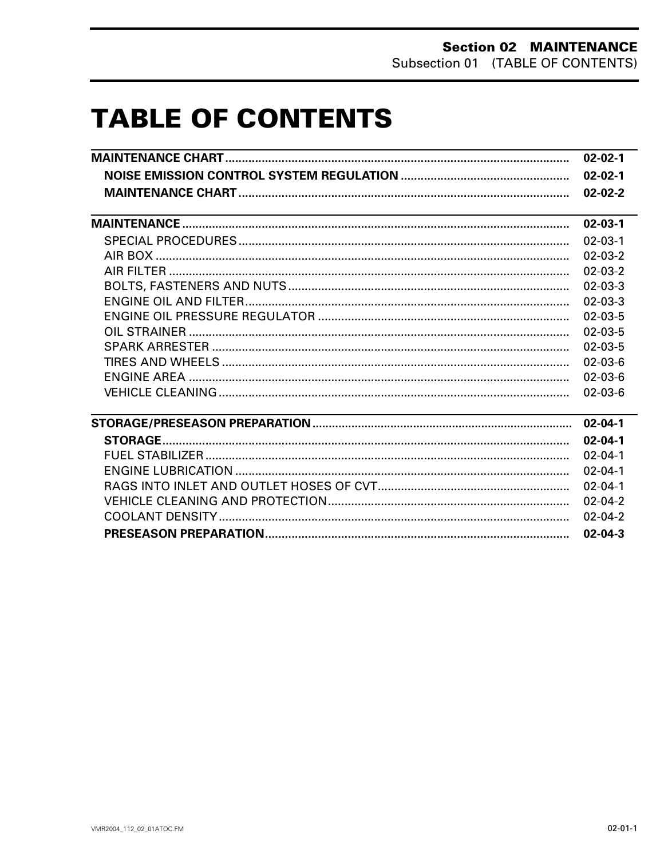# **TABLE OF CONTENTS**

|                                                                                                                                                                                                                               | $02 - 02 - 1$ |
|-------------------------------------------------------------------------------------------------------------------------------------------------------------------------------------------------------------------------------|---------------|
|                                                                                                                                                                                                                               | $02 - 02 - 1$ |
|                                                                                                                                                                                                                               | $02 - 02 - 2$ |
|                                                                                                                                                                                                                               |               |
|                                                                                                                                                                                                                               | $02 - 03 - 1$ |
|                                                                                                                                                                                                                               | $02 - 03 - 1$ |
|                                                                                                                                                                                                                               | $02 - 03 - 2$ |
|                                                                                                                                                                                                                               | $02 - 03 - 2$ |
|                                                                                                                                                                                                                               | $02 - 03 - 3$ |
|                                                                                                                                                                                                                               | $02 - 03 - 3$ |
|                                                                                                                                                                                                                               | $02 - 03 - 5$ |
|                                                                                                                                                                                                                               | $02 - 03 - 5$ |
|                                                                                                                                                                                                                               | $02 - 03 - 5$ |
|                                                                                                                                                                                                                               | $02 - 03 - 6$ |
|                                                                                                                                                                                                                               | $02 - 03 - 6$ |
|                                                                                                                                                                                                                               | $02 - 03 - 6$ |
| the control of the control of the control of the control of the control of the control of the control of the control of the control of the control of the control of the control of the control of the control of the control | $02 - 04 - 1$ |
|                                                                                                                                                                                                                               | $02 - 04 - 1$ |
|                                                                                                                                                                                                                               | $02 - 04 - 1$ |
|                                                                                                                                                                                                                               | $02 - 04 - 1$ |
|                                                                                                                                                                                                                               | $02 - 04 - 1$ |
|                                                                                                                                                                                                                               | $02 - 04 - 2$ |
|                                                                                                                                                                                                                               | $02 - 04 - 2$ |
|                                                                                                                                                                                                                               | $02 - 04 - 3$ |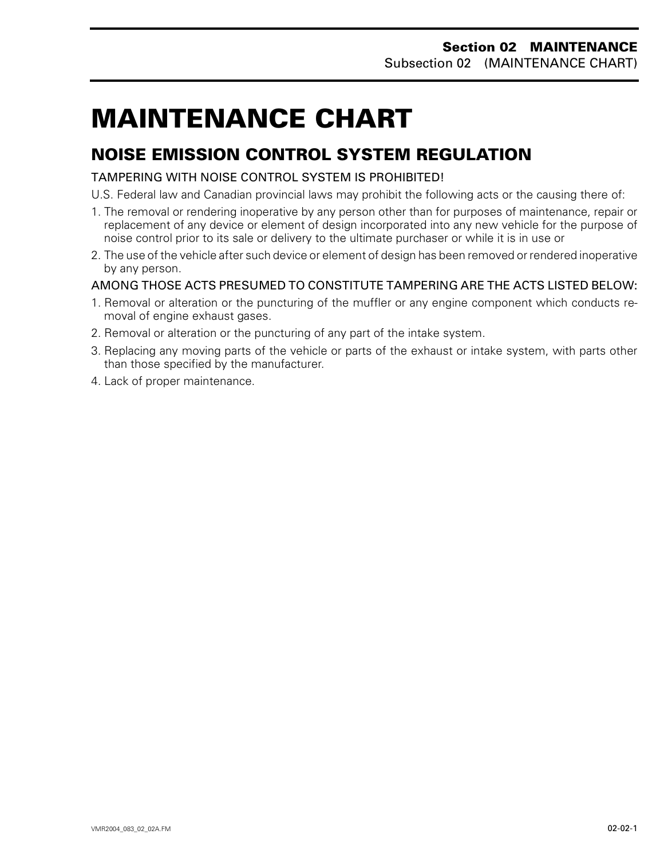# <span id="page-1-0"></span>**MAINTENANCE CHART 0**

## **NOISE EMISSION CONTROL SYSTEM REGULATION**

TAMPERING WITH NOISE CONTROL SYSTEM IS PROHIBITED!

U.S. Federal law and Canadian provincial laws may prohibit the following acts or the causing there of:

- 1. The removal or rendering inoperative by any person other than for purposes of maintenance, repair or replacement of any device or element of design incorporated into any new vehicle for the purpose of noise control prior to its sale or delivery to the ultimate purchaser or while it is in use or
- 2. The use of the vehicle after such device or element of design has been removed or rendered inoperative by any person.

#### AMONG THOSE ACTS PRESUMED TO CONSTITUTE TAMPERING ARE THE ACTS LISTED BELOW:

- 1. Removal or alteration or the puncturing of the muffler or any engine component which conducts removal of engine exhaust gases.
- 2. Removal or alteration or the puncturing of any part of the intake system.
- 3. Replacing any moving parts of the vehicle or parts of the exhaust or intake system, with parts other than those specified by the manufacturer.
- 4. Lack of proper maintenance.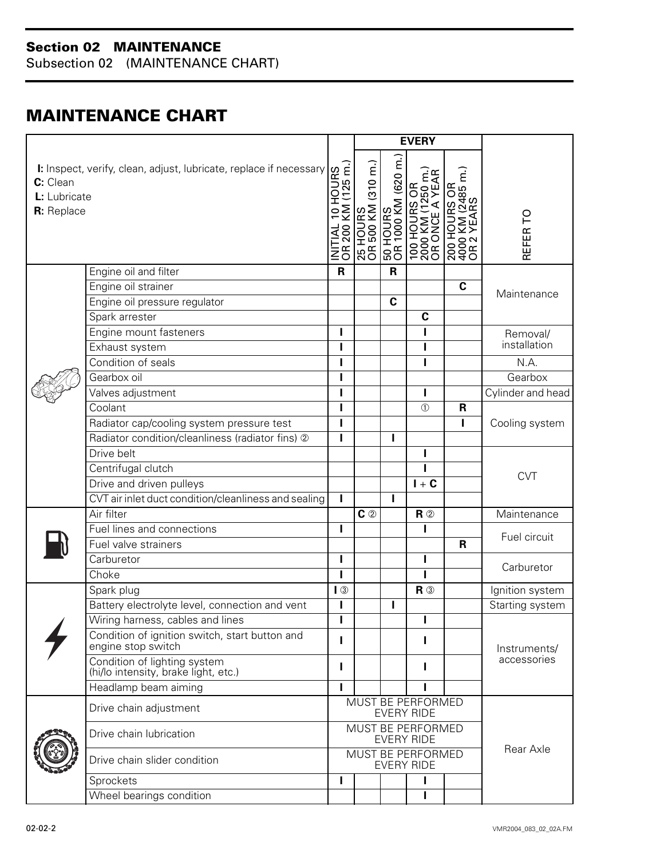Subsection 02 (MAINTENANCE CHART)

## <span id="page-2-0"></span>**MAINTENANCE CHART**

|                                        |                                                                      |                                                       | <b>EVERY</b>                            |                                 |                                                                                |                                                                               |                   |
|----------------------------------------|----------------------------------------------------------------------|-------------------------------------------------------|-----------------------------------------|---------------------------------|--------------------------------------------------------------------------------|-------------------------------------------------------------------------------|-------------------|
| C: Clean<br>L: Lubricate<br>R: Replace | I: Inspect, verify, clean, adjust, lubricate, replace if necessary   | HOURS<br>1 (125 m.)<br>KM<br>$\subseteq$<br>200<br>∑g | (310 m.<br><b>NN 005 HO</b><br>SHNOH 57 | 50 HOURS<br>OR 1000 KM (620 m.) | JRS OR<br>I (1250 m.)<br>E A YEAR<br><b>TOO HOUR<br/>2000 KM (</b><br>RUOH 001 | $\frac{1}{100}$<br>(2485 m.)<br>RS<br>ξМ<br>ш<br>≻<br>200 H<br>4000 K<br>OR 2 | REFER TO          |
|                                        | Engine oil and filter                                                | $\mathsf{R}$                                          |                                         | $\mathbf R$                     |                                                                                |                                                                               |                   |
|                                        | Engine oil strainer                                                  |                                                       |                                         |                                 |                                                                                | $\mathbf c$                                                                   |                   |
|                                        | Engine oil pressure regulator                                        |                                                       |                                         | $\mathbf c$                     |                                                                                |                                                                               | Maintenance       |
|                                        | Spark arrester                                                       |                                                       |                                         |                                 | $\mathbf c$                                                                    |                                                                               |                   |
|                                        | Engine mount fasteners                                               | т                                                     |                                         |                                 | ı                                                                              |                                                                               | Removal/          |
|                                        | Exhaust system                                                       |                                                       |                                         |                                 | I                                                                              |                                                                               | installation      |
|                                        | Condition of seals                                                   |                                                       |                                         |                                 | I                                                                              |                                                                               | N.A.              |
|                                        | Gearbox oil                                                          | п                                                     |                                         |                                 |                                                                                |                                                                               | Gearbox           |
|                                        | Valves adjustment                                                    |                                                       |                                         |                                 | I                                                                              |                                                                               | Cylinder and head |
|                                        | Coolant                                                              |                                                       |                                         |                                 | $\circled{1}$                                                                  | $\mathbf R$                                                                   |                   |
|                                        | Radiator cap/cooling system pressure test                            | п                                                     |                                         |                                 |                                                                                |                                                                               | Cooling system    |
|                                        | Radiator condition/cleanliness (radiator fins) 2                     |                                                       |                                         | ı                               |                                                                                |                                                                               |                   |
|                                        | Drive belt                                                           |                                                       |                                         |                                 | ı                                                                              |                                                                               |                   |
|                                        | Centrifugal clutch                                                   |                                                       |                                         |                                 | ı                                                                              |                                                                               | <b>CVT</b>        |
|                                        | Drive and driven pulleys                                             |                                                       |                                         |                                 | $I + C$                                                                        |                                                                               |                   |
|                                        | CVT air inlet duct condition/cleanliness and sealing                 | т                                                     |                                         | ı                               |                                                                                |                                                                               |                   |
|                                        | Air filter                                                           |                                                       | $c$ $\circ$                             |                                 | $R$ ②                                                                          |                                                                               | Maintenance       |
|                                        | Fuel lines and connections                                           | т                                                     |                                         |                                 | ı                                                                              |                                                                               | Fuel circuit      |
|                                        | Fuel valve strainers                                                 |                                                       |                                         |                                 |                                                                                | $\mathbf R$                                                                   |                   |
|                                        | Carburetor                                                           | п                                                     |                                         |                                 | ı                                                                              |                                                                               | Carburetor        |
|                                        | Choke                                                                | п                                                     |                                         |                                 |                                                                                |                                                                               |                   |
|                                        | Spark plug                                                           | $\sqrt{3}$                                            |                                         |                                 | $R$ $\circledcirc$                                                             |                                                                               | Ignition system   |
|                                        | Battery electrolyte level, connection and vent                       |                                                       |                                         | ı                               |                                                                                |                                                                               | Starting system   |
|                                        | Wiring harness, cables and lines                                     | п<br>H.                                               |                                         |                                 |                                                                                |                                                                               |                   |
|                                        | Condition of ignition switch, start button and<br>engine stop switch |                                                       |                                         |                                 |                                                                                |                                                                               | Instruments/      |
|                                        | Condition of lighting system<br>(hi/lo intensity, brake light, etc.) | L                                                     |                                         |                                 | п                                                                              |                                                                               | accessories       |
|                                        | Headlamp beam aiming                                                 |                                                       |                                         |                                 |                                                                                |                                                                               |                   |
|                                        | Drive chain adjustment                                               | <b>MUST BE PERFORMED</b><br><b>EVERY RIDE</b>         |                                         |                                 |                                                                                |                                                                               |                   |
|                                        | Drive chain lubrication                                              | MUST BE PERFORMED<br><b>EVERY RIDE</b>                |                                         |                                 |                                                                                |                                                                               |                   |
|                                        | Drive chain slider condition                                         | MUST BE PERFORMED<br><b>EVERY RIDE</b>                |                                         |                                 | Rear Axle                                                                      |                                                                               |                   |
|                                        | Sprockets                                                            | п                                                     |                                         |                                 |                                                                                |                                                                               |                   |
|                                        | Wheel bearings condition                                             |                                                       |                                         |                                 | I                                                                              |                                                                               |                   |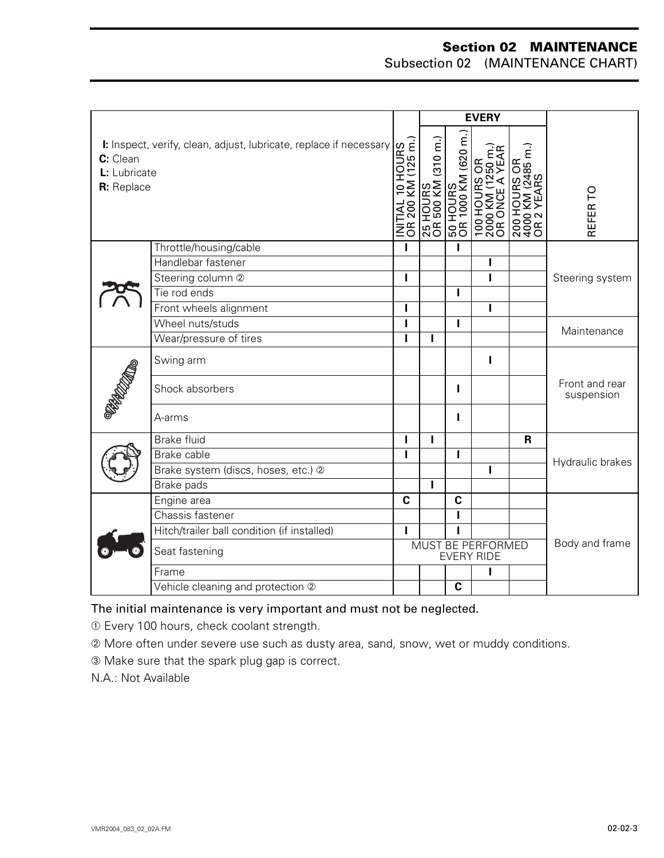Subsection 02 (MAINTENANCE CHART)

|                                        | <b>EVERY</b>                                                       |                                                                     |                      |                                  |                                                       |                                                        |                              |
|----------------------------------------|--------------------------------------------------------------------|---------------------------------------------------------------------|----------------------|----------------------------------|-------------------------------------------------------|--------------------------------------------------------|------------------------------|
| C: Clean<br>L: Lubricate<br>R: Replace | I: Inspect, verify, clean, adjust, lubricate, replace if necessary | HOURS<br>(125 m.)<br>I<br>KN<br>$\overline{C}$<br>INITIAL<br>OR 200 | $(310 \, \text{m.})$ | Ξ<br>50 HOURS<br>OR 1000 KM (620 | ξ<br>6Ř<br>250<br>СЧ<br>Н<br>100 H<br>2000 I<br>OR OI | $(2485 \text{ m.})$<br>ЭŘ<br>200 H<br>4000 K<br>OR 2 \ | REFER TO                     |
|                                        | Throttle/housing/cable                                             | п                                                                   |                      | п                                |                                                       |                                                        |                              |
|                                        | Handlebar fastener                                                 |                                                                     |                      |                                  | п                                                     |                                                        |                              |
|                                        | Steering column 2                                                  |                                                                     |                      |                                  | I                                                     |                                                        | Steering system              |
|                                        | Tie rod ends                                                       |                                                                     |                      | ı                                |                                                       |                                                        |                              |
|                                        | Front wheels alignment                                             | ı                                                                   |                      |                                  | п                                                     |                                                        |                              |
|                                        | Wheel nuts/studs                                                   |                                                                     |                      | П                                |                                                       |                                                        | Maintenance                  |
|                                        | Wear/pressure of tires                                             |                                                                     | ı                    |                                  |                                                       |                                                        |                              |
| <b>PROCLAMAD</b>                       | Swing arm                                                          |                                                                     |                      |                                  | Т                                                     |                                                        |                              |
|                                        | Shock absorbers                                                    |                                                                     |                      | ı                                |                                                       |                                                        | Front and rear<br>suspension |
|                                        | A-arms                                                             |                                                                     |                      | ı                                |                                                       |                                                        |                              |
|                                        | <b>Brake fluid</b>                                                 | ı                                                                   | I                    |                                  |                                                       | $\mathsf R$                                            |                              |
|                                        | Brake cable                                                        |                                                                     |                      | I                                |                                                       |                                                        | Hydraulic brakes             |
|                                        | Brake system (discs, hoses, etc.) 2                                |                                                                     |                      |                                  | т                                                     |                                                        |                              |
|                                        | Brake pads                                                         |                                                                     | ı                    |                                  |                                                       |                                                        |                              |
|                                        | Engine area                                                        | $\mathbf c$                                                         |                      | $\mathbf c$                      |                                                       |                                                        |                              |
|                                        | Chassis fastener                                                   |                                                                     |                      | п                                |                                                       |                                                        |                              |
|                                        | Hitch/trailer ball condition (if installed)                        |                                                                     |                      | Ī                                |                                                       |                                                        |                              |
|                                        | Seat fastening                                                     | MUST BE PERFORMED<br><b>EVERY RIDE</b>                              |                      | Body and frame                   |                                                       |                                                        |                              |
|                                        | Frame                                                              |                                                                     |                      |                                  | ı                                                     |                                                        |                              |
|                                        | Vehicle cleaning and protection 2                                  |                                                                     |                      | C                                |                                                       |                                                        |                              |

#### The initial maintenance is very important and must not be neglected.

➀ Every 100 hours, check coolant strength.

➁ More often under severe use such as dusty area, sand, snow, wet or muddy conditions.

➂ Make sure that the spark plug gap is correct.

N.A.: Not Available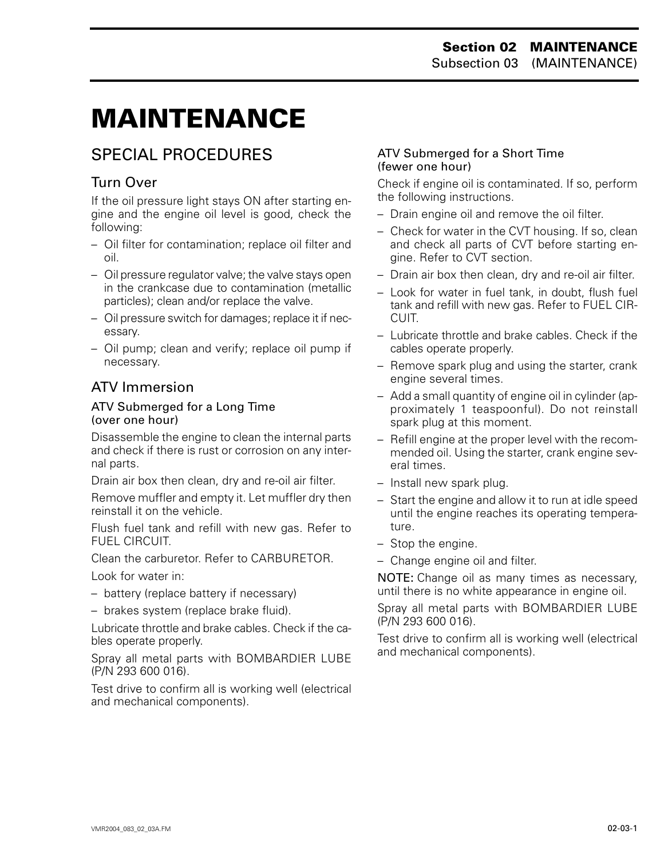# <span id="page-4-0"></span>**MAINTENANCE 0**

## SPECIAL PROCEDURES

### Turn Over

If the oil pressure light stays ON after starting engine and the engine oil level is good, check the following:

- Oil filter for contamination; replace oil filter and oil.
- Oil pressure regulator valve; the valve stays open in the crankcase due to contamination (metallic particles); clean and/or replace the valve.
- Oil pressure switch for damages; replace it if necessary.
- Oil pump; clean and verify; replace oil pump if necessary.

### ATV Immersion

#### ATV Submerged for a Long Time (over one hour)

Disassemble the engine to clean the internal parts and check if there is rust or corrosion on any internal parts.

Drain air box then clean, dry and re-oil air filter.

Remove muffler and empty it. Let muffler dry then reinstall it on the vehicle.

Flush fuel tank and refill with new gas. Refer to FUEL CIRCUIT.

Clean the carburetor. Refer to CARBURETOR.

Look for water in:

– battery (replace battery if necessary)

– brakes system (replace brake fluid).

Lubricate throttle and brake cables. Check if the cables operate properly.

Spray all metal parts with BOMBARDIER LUBE (P/N 293 600 016).

Test drive to confirm all is working well (electrical and mechanical components).

#### ATV Submerged for a Short Time (fewer one hour)

Check if engine oil is contaminated. If so, perform the following instructions.

- Drain engine oil and remove the oil filter.
- Check for water in the CVT housing. If so, clean and check all parts of CVT before starting engine. Refer to CVT section.
- Drain air box then clean, dry and re-oil air filter.
- Look for water in fuel tank, in doubt, flush fuel tank and refill with new gas. Refer to FUEL CIR-CUIT.
- Lubricate throttle and brake cables. Check if the cables operate properly.
- Remove spark plug and using the starter, crank engine several times.
- Add a small quantity of engine oil in cylinder (approximately 1 teaspoonful). Do not reinstall spark plug at this moment.
- Refill engine at the proper level with the recommended oil. Using the starter, crank engine several times.
- Install new spark plug.
- Start the engine and allow it to run at idle speed until the engine reaches its operating temperature.
- Stop the engine.
- Change engine oil and filter.

NOTE: Change oil as many times as necessary, until there is no white appearance in engine oil.

Spray all metal parts with BOMBARDIER LUBE (P/N 293 600 016).

Test drive to confirm all is working well (electrical and mechanical components).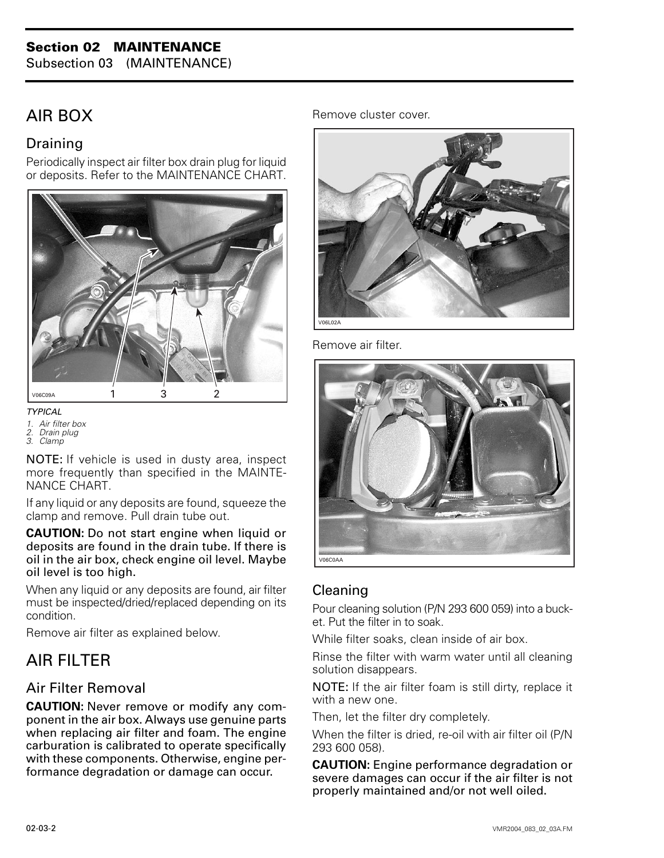Subsection 03 (MAINTENANCE)

## <span id="page-5-0"></span>AIR BOX

#### Draining

Periodically inspect air filter box drain plug for liquid or deposits. Refer to the MAINTENANCE CHART.



*TYPICAL*

- *1. Air filter box*
- *2. Drain plug*
- *3. Clamp*

NOTE: If vehicle is used in dusty area, inspect more frequently than specified in the MAINTE-NANCE CHART.

If any liquid or any deposits are found, squeeze the clamp and remove. Pull drain tube out.

#### **CAUTION:** Do not start engine when liquid or deposits are found in the drain tube. If there is oil in the air box, check engine oil level. Maybe oil level is too high.

When any liquid or any deposits are found, air filter must be inspected/dried/replaced depending on its condition.

Remove air filter as explained below.

## AIR FILTER

#### Air Filter Removal

**CAUTION:** Never remove or modify any component in the air box. Always use genuine parts when replacing air filter and foam. The engine carburation is calibrated to operate specifically with these components. Otherwise, engine performance degradation or damage can occur.

Remove cluster cover.



Remove air filter.



#### Cleaning

Pour cleaning solution (P/N 293 600 059) into a bucket. Put the filter in to soak.

While filter soaks, clean inside of air box.

Rinse the filter with warm water until all cleaning solution disappears.

NOTE: If the air filter foam is still dirty, replace it with a new one.

Then, let the filter dry completely.

When the filter is dried, re-oil with air filter oil (P/N 293 600 058).

**CAUTION:** Engine performance degradation or severe damages can occur if the air filter is not properly maintained and/or not well oiled.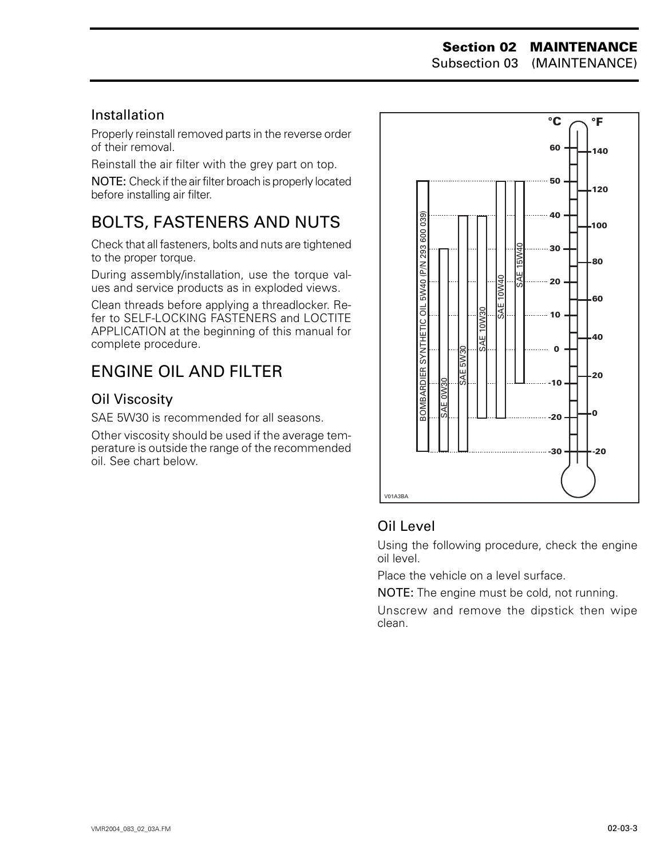#### **Section 02 MAINTENANCE** Subsection 03 (MAINTENANCE)

Installation

Properly reinstall removed parts in the reverse order of their removal.

Reinstall the air filter with the grey part on top.

NOTE: Check if the air filter broach is properly located before installing air filter.

## <span id="page-6-0"></span>BOLTS, FASTENERS AND NUTS

Check that all fasteners, bolts and nuts are tightened to the proper torque.

During assembly/installation, use the torque values and service products as in exploded views.

Clean threads before applying a threadlocker. Refer to SELF-LOCKING FASTENERS and LOCTITE APPLICATION at the beginning of this manual for complete procedure.

## ENGINE OIL AND FILTER

#### Oil Viscosity

SAE 5W30 is recommended for all seasons.

Other viscosity should be used if the average temperature is outside the range of the recommended oil. See chart below.



#### Oil Level

Using the following procedure, check the engine oil level.

Place the vehicle on a level surface.

NOTE: The engine must be cold, not running.

Unscrew and remove the dipstick then wipe clean.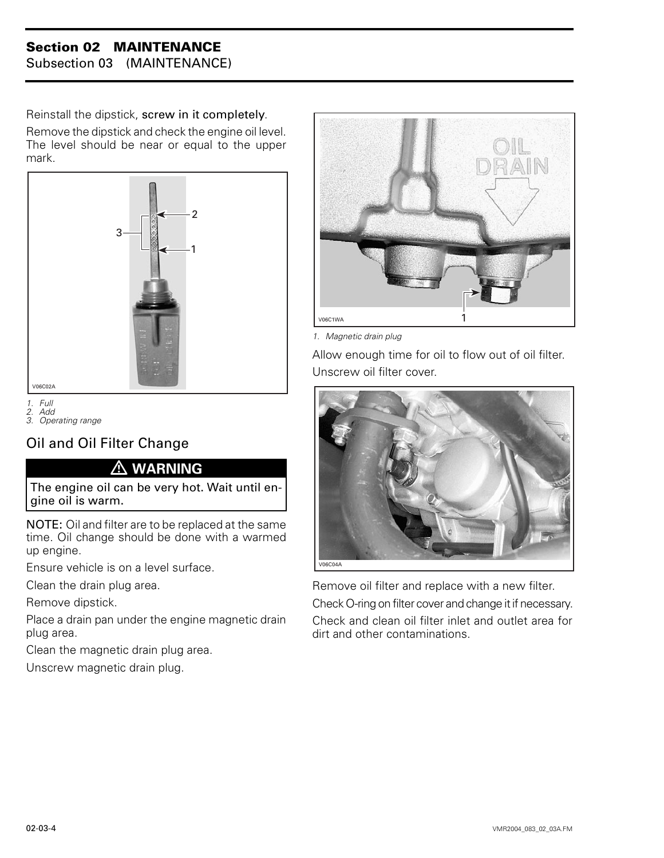Subsection 03 (MAINTENANCE)

Reinstall the dipstick, screw in it completely. Remove the dipstick and check the engine oil level. The level should be near or equal to the upper mark.



*1. Full*

*2. Add 3. Operating range*

## Oil and Oil Filter Change

#### **WARNING**

The engine oil can be very hot. Wait until engine oil is warm.

NOTE: Oil and filter are to be replaced at the same time. Oil change should be done with a warmed up engine.

Ensure vehicle is on a level surface.

Clean the drain plug area.

Remove dipstick.

Place a drain pan under the engine magnetic drain plug area.

Clean the magnetic drain plug area.

Unscrew magnetic drain plug.



*1. Magnetic drain plug*

Allow enough time for oil to flow out of oil filter. Unscrew oil filter cover.



Remove oil filter and replace with a new filter.

Check O-ring on filter cover and change it if necessary. Check and clean oil filter inlet and outlet area for

dirt and other contaminations.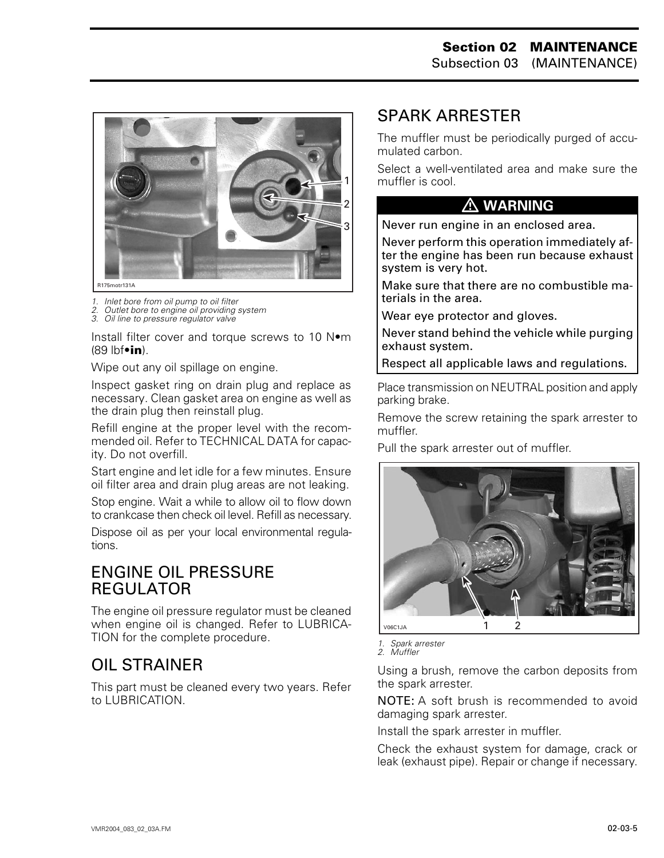

- *1. Inlet bore from oil pump to oil filter*
- *2. Outlet bore to engine oil providing system*
- *3. Oil line to pressure regulator valve*

Install filter cover and torque screws to 10 N•m (89 lbf•**in**).

Wipe out any oil spillage on engine.

Inspect gasket ring on drain plug and replace as necessary. Clean gasket area on engine as well as the drain plug then reinstall plug.

Refill engine at the proper level with the recommended oil. Refer to TECHNICAL DATA for capacity. Do not overfill.

Start engine and let idle for a few minutes. Ensure oil filter area and drain plug areas are not leaking.

Stop engine. Wait a while to allow oil to flow down to crankcase then check oil level. Refill as necessary.

Dispose oil as per your local environmental regulations.

#### <span id="page-8-0"></span>ENGINE OIL PRESSURE REGULATOR

The engine oil pressure regulator must be cleaned when engine oil is changed. Refer to LUBRICA-TION for the complete procedure.

## OIL STRAINER

This part must be cleaned every two years. Refer to LUBRICATION.

## SPARK ARRESTER

The muffler must be periodically purged of accumulated carbon.

Select a well-ventilated area and make sure the muffler is cool.

#### **WARNING**

Never run engine in an enclosed area.

Never perform this operation immediately after the engine has been run because exhaust system is very hot.

Make sure that there are no combustible materials in the area.

Wear eye protector and gloves.

Never stand behind the vehicle while purging exhaust system.

Respect all applicable laws and regulations.

Place transmission on NEUTRAL position and apply parking brake.

Remove the screw retaining the spark arrester to muffler.

Pull the spark arrester out of muffler.



*1. Spark arrester* 

*2. Muffler*

Using a brush, remove the carbon deposits from the spark arrester.

NOTE: A soft brush is recommended to avoid damaging spark arrester.

Install the spark arrester in muffler.

Check the exhaust system for damage, crack or leak (exhaust pipe). Repair or change if necessary.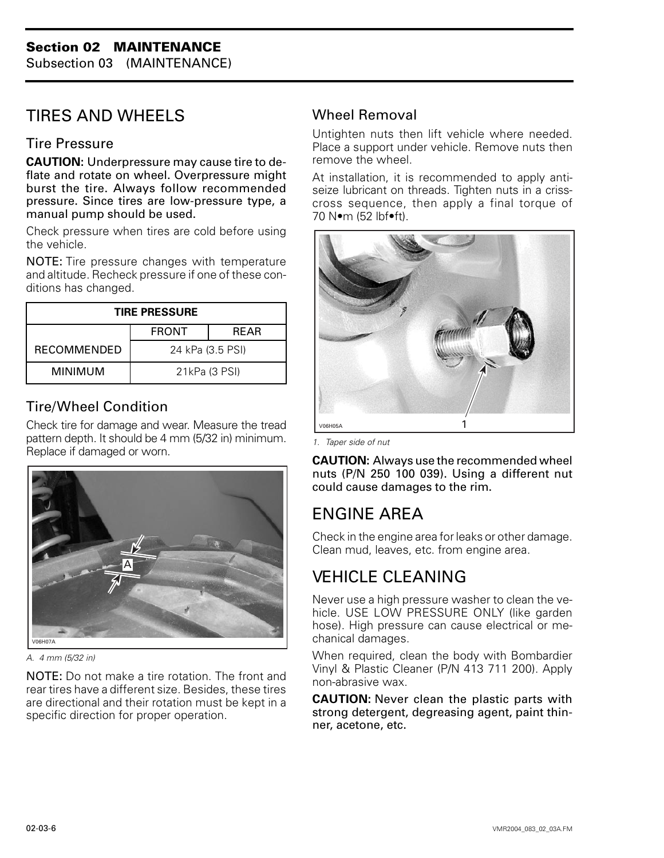Subsection 03 (MAINTENANCE)

# <span id="page-9-0"></span>TIRES AND WHEELS

#### Tire Pressure

**CAUTION:** Underpressure may cause tire to deflate and rotate on wheel. Overpressure might burst the tire. Always follow recommended pressure. Since tires are low-pressure type, a manual pump should be used.

Check pressure when tires are cold before using the vehicle.

NOTE: Tire pressure changes with temperature and altitude. Recheck pressure if one of these conditions has changed.

| <b>TIRE PRESSURE</b> |                  |      |  |  |  |  |  |
|----------------------|------------------|------|--|--|--|--|--|
|                      | <b>FRONT</b>     | RFAR |  |  |  |  |  |
| <b>RECOMMENDED</b>   | 24 kPa (3.5 PSI) |      |  |  |  |  |  |
| MINIMUM              | 21kPa (3 PSI)    |      |  |  |  |  |  |

### Tire/Wheel Condition

Check tire for damage and wear. Measure the tread pattern depth. It should be 4 mm (5/32 in) minimum. Replace if damaged or worn.



*A. 4 mm (5/32 in)*

NOTE: Do not make a tire rotation. The front and rear tires have a different size. Besides, these tires are directional and their rotation must be kept in a specific direction for proper operation.

#### Wheel Removal

Untighten nuts then lift vehicle where needed. Place a support under vehicle. Remove nuts then remove the wheel.

At installation, it is recommended to apply antiseize lubricant on threads. Tighten nuts in a crisscross sequence, then apply a final torque of 70 N•m (52 lbf•ft).



*1. Taper side of nut*

**CAUTION:** Always use the recommended wheel nuts (P/N 250 100 039). Using a different nut could cause damages to the rim.

# ENGINE AREA

Check in the engine area for leaks or other damage. Clean mud, leaves, etc. from engine area.

# VEHICLE CLEANING

Never use a high pressure washer to clean the vehicle. USE LOW PRESSURE ONLY (like garden hose). High pressure can cause electrical or mechanical damages.

When required, clean the body with Bombardier Vinyl & Plastic Cleaner (P/N 413 711 200). Apply non-abrasive wax.

**CAUTION:** Never clean the plastic parts with strong detergent, degreasing agent, paint thinner, acetone, etc.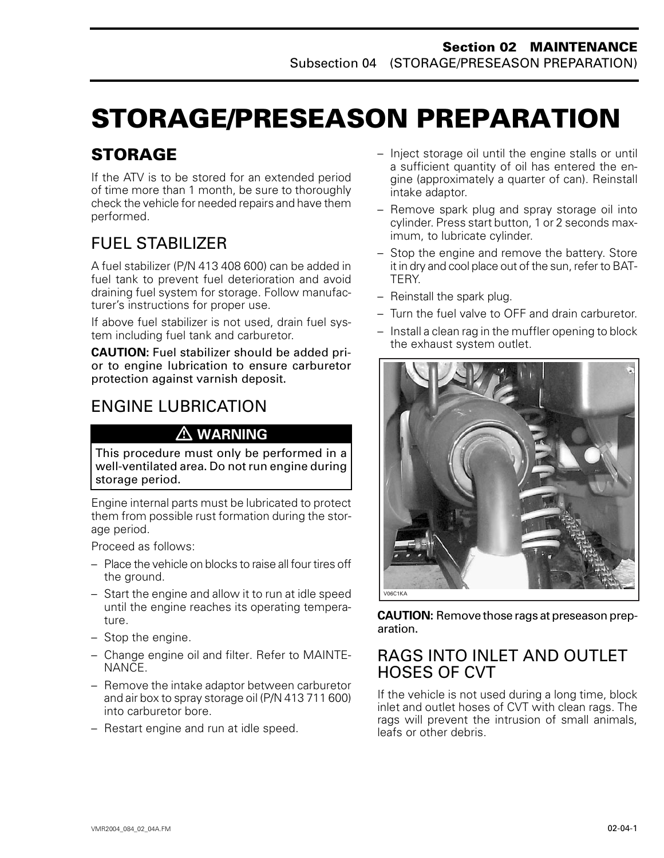# <span id="page-10-0"></span>**STORAGE/PRESEASON PREPARATION**

# **STORAGE**

If the ATV is to be stored for an extended period of time more than 1 month, be sure to thoroughly check the vehicle for needed repairs and have them performed.

# FUEL STABILIZER

A fuel stabilizer (P/N 413 408 600) can be added in fuel tank to prevent fuel deterioration and avoid draining fuel system for storage. Follow manufacturer's instructions for proper use.

If above fuel stabilizer is not used, drain fuel system including fuel tank and carburetor.

**CAUTION:** Fuel stabilizer should be added prior to engine lubrication to ensure carburetor protection against varnish deposit.

## ENGINE LUBRICATION

## **WARNING**

This procedure must only be performed in a well-ventilated area. Do not run engine during storage period.

Engine internal parts must be lubricated to protect them from possible rust formation during the storage period.

Proceed as follows:

- Place the vehicle on blocks to raise all four tires off the ground.
- Start the engine and allow it to run at idle speed until the engine reaches its operating temperature.
- Stop the engine.
- Change engine oil and filter. Refer to MAINTE-NANCE.
- Remove the intake adaptor between carburetor and air box to spray storage oil (P/N 413 711 600) into carburetor bore.
- Restart engine and run at idle speed.
- Inject storage oil until the engine stalls or until a sufficient quantity of oil has entered the engine (approximately a quarter of can). Reinstall intake adaptor.
- Remove spark plug and spray storage oil into cylinder. Press start button, 1 or 2 seconds maximum, to lubricate cylinder.
- Stop the engine and remove the battery. Store it in dry and cool place out of the sun, refer to BAT-TERY.
- Reinstall the spark plug.
- Turn the fuel valve to OFF and drain carburetor.
- Install a clean rag in the muffler opening to block the exhaust system outlet.



**CAUTION:** Remove those rags at preseason preparation.

## RAGS INTO INLET AND OUTLET HOSES OF CVT

If the vehicle is not used during a long time, block inlet and outlet hoses of CVT with clean rags. The rags will prevent the intrusion of small animals, leafs or other debris.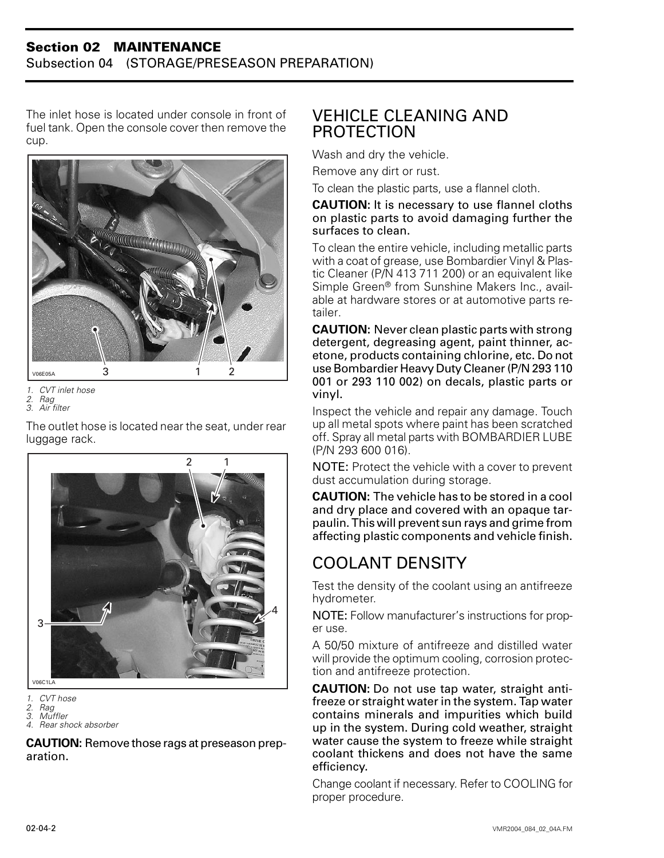#### **Section 02 MAINTENANCE** Subsection 04 (STORAGE/PRESEASON PREPARATION)

The inlet hose is located under console in front of fuel tank. Open the console cover then remove the cup.



*1. CVT inlet hose*

*2. Rag 3. Air filter*

The outlet hose is located near the seat, under rear luggage rack.



V06C1LA

*1. CVT hose 2. Rag*

*4. Rear shock absorber*

**CAUTION:** Remove those rags at preseason preparation.

## <span id="page-11-0"></span>VEHICLE CLEANING AND PROTECTION

Wash and dry the vehicle.

Remove any dirt or rust.

To clean the plastic parts, use a flannel cloth.

#### **CAUTION:** It is necessary to use flannel cloths on plastic parts to avoid damaging further the surfaces to clean.

To clean the entire vehicle, including metallic parts with a coat of grease, use Bombardier Vinyl & Plastic Cleaner (P/N 413 711 200) or an equivalent like Simple Green® from Sunshine Makers Inc., available at hardware stores or at automotive parts retailer.

**CAUTION:** Never clean plastic parts with strong detergent, degreasing agent, paint thinner, acetone, products containing chlorine, etc. Do not use Bombardier Heavy Duty Cleaner (P/N 293 110 001 or 293 110 002) on decals, plastic parts or vinyl.

Inspect the vehicle and repair any damage. Touch up all metal spots where paint has been scratched off. Spray all metal parts with BOMBARDIER LUBE (P/N 293 600 016).

NOTE: Protect the vehicle with a cover to prevent dust accumulation during storage.

**CAUTION:** The vehicle has to be stored in a cool and dry place and covered with an opaque tarpaulin. This will prevent sun rays and grime from affecting plastic components and vehicle finish.

# COOLANT DENSITY

Test the density of the coolant using an antifreeze hydrometer.

NOTE: Follow manufacturer's instructions for proper use.

A 50/50 mixture of antifreeze and distilled water will provide the optimum cooling, corrosion protection and antifreeze protection.

**CAUTION:** Do not use tap water, straight antifreeze or straight water in the system. Tap water contains minerals and impurities which build up in the system. During cold weather, straight water cause the system to freeze while straight coolant thickens and does not have the same efficiency.

Change coolant if necessary. Refer to COOLING for proper procedure.

*<sup>3.</sup> Muffler*